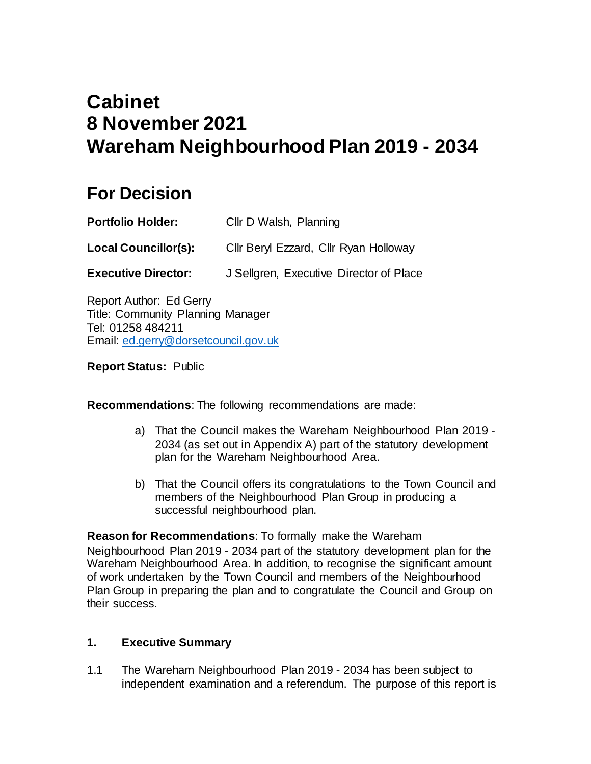# **Cabinet 8 November 2021 Wareham Neighbourhood Plan 2019 - 2034**

## **For Decision**

| <b>Portfolio Holder:</b>    | Cllr D Walsh, Planning                  |
|-----------------------------|-----------------------------------------|
| <b>Local Councillor(s):</b> | Cllr Beryl Ezzard, Cllr Ryan Holloway   |
| <b>Executive Director:</b>  | J Sellgren, Executive Director of Place |

Report Author: Ed Gerry Title: Community Planning Manager Tel: 01258 484211 Email: [ed.gerry@dorsetcouncil.gov.uk](mailto:nick.cardnell@dorsetcouncil.gov.uk)

#### **Report Status:** Public

**Recommendations**: The following recommendations are made:

- a) That the Council makes the Wareham Neighbourhood Plan 2019 2034 (as set out in Appendix A) part of the statutory development plan for the Wareham Neighbourhood Area.
- b) That the Council offers its congratulations to the Town Council and members of the Neighbourhood Plan Group in producing a successful neighbourhood plan.

**Reason for Recommendations**: To formally make the Wareham Neighbourhood Plan 2019 - 2034 part of the statutory development plan for the Wareham Neighbourhood Area. In addition, to recognise the significant amount of work undertaken by the Town Council and members of the Neighbourhood Plan Group in preparing the plan and to congratulate the Council and Group on their success.

## **1. Executive Summary**

1.1 The Wareham Neighbourhood Plan 2019 - 2034 has been subject to independent examination and a referendum. The purpose of this report is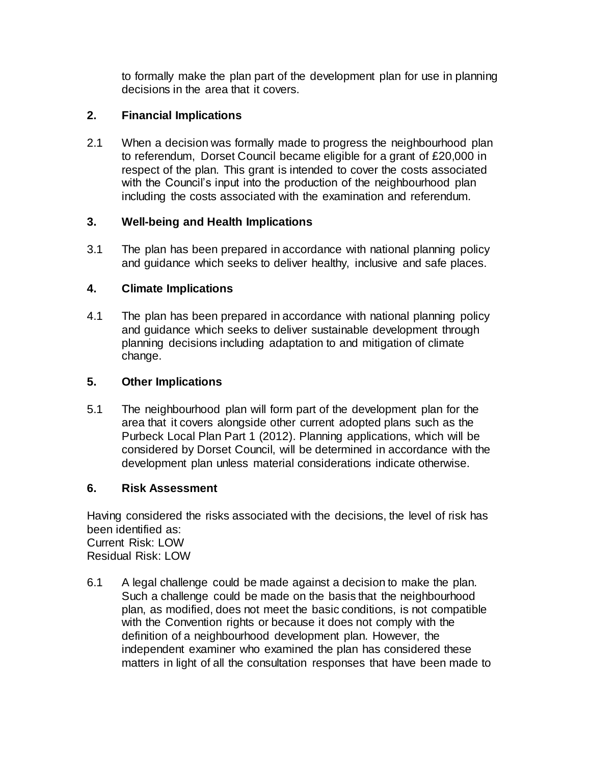to formally make the plan part of the development plan for use in planning decisions in the area that it covers.

## **2. Financial Implications**

2.1 When a decision was formally made to progress the neighbourhood plan to referendum, Dorset Council became eligible for a grant of £20,000 in respect of the plan. This grant is intended to cover the costs associated with the Council's input into the production of the neighbourhood plan including the costs associated with the examination and referendum.

## **3. Well-being and Health Implications**

3.1 The plan has been prepared in accordance with national planning policy and guidance which seeks to deliver healthy, inclusive and safe places.

## **4. Climate Implications**

4.1 The plan has been prepared in accordance with national planning policy and guidance which seeks to deliver sustainable development through planning decisions including adaptation to and mitigation of climate change.

## **5. Other Implications**

5.1 The neighbourhood plan will form part of the development plan for the area that it covers alongside other current adopted plans such as the Purbeck Local Plan Part 1 (2012). Planning applications, which will be considered by Dorset Council, will be determined in accordance with the development plan unless material considerations indicate otherwise.

## **6. Risk Assessment**

Having considered the risks associated with the decisions, the level of risk has been identified as: Current Risk: LOW Residual Risk: LOW

6.1 A legal challenge could be made against a decision to make the plan. Such a challenge could be made on the basis that the neighbourhood plan, as modified, does not meet the basic conditions, is not compatible with the Convention rights or because it does not comply with the definition of a neighbourhood development plan. However, the independent examiner who examined the plan has considered these matters in light of all the consultation responses that have been made to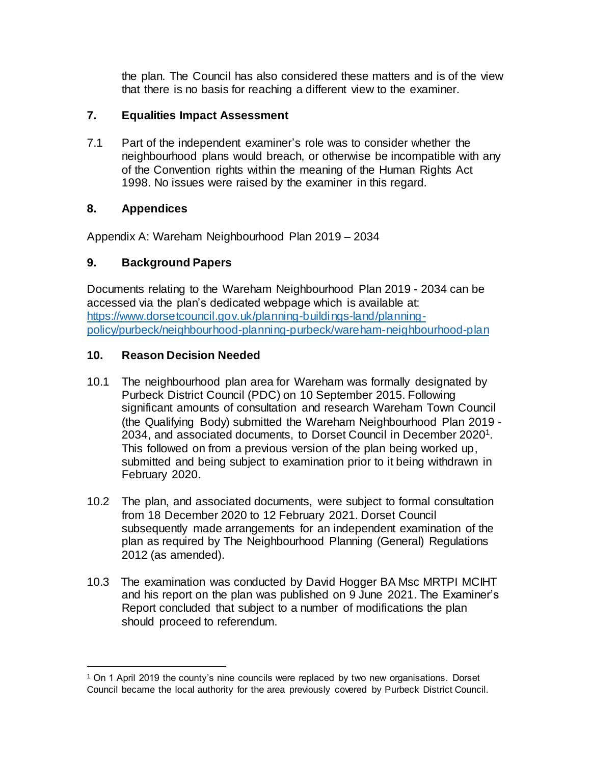the plan. The Council has also considered these matters and is of the view that there is no basis for reaching a different view to the examiner.

#### **7. Equalities Impact Assessment**

7.1 Part of the independent examiner's role was to consider whether the neighbourhood plans would breach, or otherwise be incompatible with any of the Convention rights within the meaning of the Human Rights Act 1998. No issues were raised by the examiner in this regard.

#### **8. Appendices**

 $\ddot{\phantom{a}}$ 

Appendix A: Wareham Neighbourhood Plan 2019 – 2034

## **9. Background Papers**

Documents relating to the Wareham Neighbourhood Plan 2019 - 2034 can be accessed via the plan's dedicated webpage which is available at: [https://www.dorsetcouncil.gov.uk/planning-buildings-land/planning](https://www.dorsetcouncil.gov.uk/planning-buildings-land/planning-policy/purbeck/neighbourhood-planning-purbeck/wareham-neighbourhood-plan)[policy/purbeck/neighbourhood-planning-purbeck/wareham-neighbourhood-plan](https://www.dorsetcouncil.gov.uk/planning-buildings-land/planning-policy/purbeck/neighbourhood-planning-purbeck/wareham-neighbourhood-plan)

#### **10. Reason Decision Needed**

- 10.1 The neighbourhood plan area for Wareham was formally designated by Purbeck District Council (PDC) on 10 September 2015. Following significant amounts of consultation and research Wareham Town Council (the Qualifying Body) submitted the Wareham Neighbourhood Plan 2019 - 2034, and associated documents, to Dorset Council in December 2020<sup>1</sup>. This followed on from a previous version of the plan being worked up, submitted and being subject to examination prior to it being withdrawn in February 2020.
- 10.2 The plan, and associated documents, were subject to formal consultation from 18 December 2020 to 12 February 2021. Dorset Council subsequently made arrangements for an independent examination of the plan as required by The Neighbourhood Planning (General) Regulations 2012 (as amended).
- 10.3 The examination was conducted by David Hogger BA Msc MRTPI MCIHT and his report on the plan was published on 9 June 2021. The Examiner's Report concluded that subject to a number of modifications the plan should proceed to referendum.

<sup>1</sup> On 1 April 2019 the county's nine councils were replaced by two new organisations. Dorset Council became the local authority for the area previously covered by Purbeck District Council.